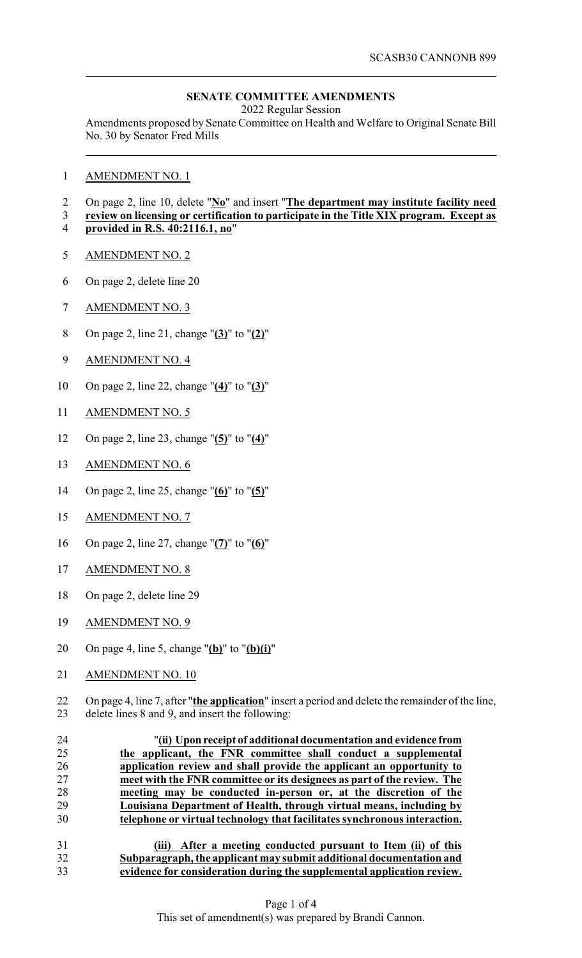## **SENATE COMMITTEE AMENDMENTS**

2022 Regular Session

Amendments proposed by Senate Committee on Health and Welfare to Original Senate Bill No. 30 by Senator Fred Mills

AMENDMENT NO. 1

## On page 2, line 10, delete "**No**" and insert "**The department may institute facility need**

- **review on licensing or certification to participate in the Title XIX program. Except as provided in R.S. 40:2116.1, no**"
- AMENDMENT NO. 2
- On page 2, delete line 20
- AMENDMENT NO. 3
- On page 2, line 21, change "**(3)**" to "**(2)**"
- AMENDMENT NO. 4
- On page 2, line 22, change "**(4)**" to "**(3)**"
- AMENDMENT NO. 5
- On page 2, line 23, change "**(5)**" to "**(4)**"
- AMENDMENT NO. 6
- On page 2, line 25, change "**(6)**" to "**(5)**"
- AMENDMENT NO. 7
- On page 2, line 27, change "**(7)**" to "**(6)**"
- AMENDMENT NO. 8
- On page 2, delete line 29
- AMENDMENT NO. 9
- On page 4, line 5, change "**(b)**" to "**(b)(i)**"
- AMENDMENT NO. 10
- 22 On page 4, line 7, after "**the application**" insert a period and delete the remainder of the line,<br>23 delete lines 8 and 9, and insert the following: delete lines 8 and 9, and insert the following:

 "**(ii) Upon receipt of additional documentation and evidence from the applicant, the FNR committee shall conduct a supplemental application review and shall provide the applicant an opportunity to meet with the FNR committee or its designees as part of the review. The meeting may be conducted in-person or, at the discretion of the Louisiana Department of Health, through virtual means, including by telephone or virtual technology that facilitates synchronous interaction.**

 **(iii) After a meeting conducted pursuant to Item (ii) of this Subparagraph, the applicant may submit additional documentation and evidence for consideration during the supplemental application review.**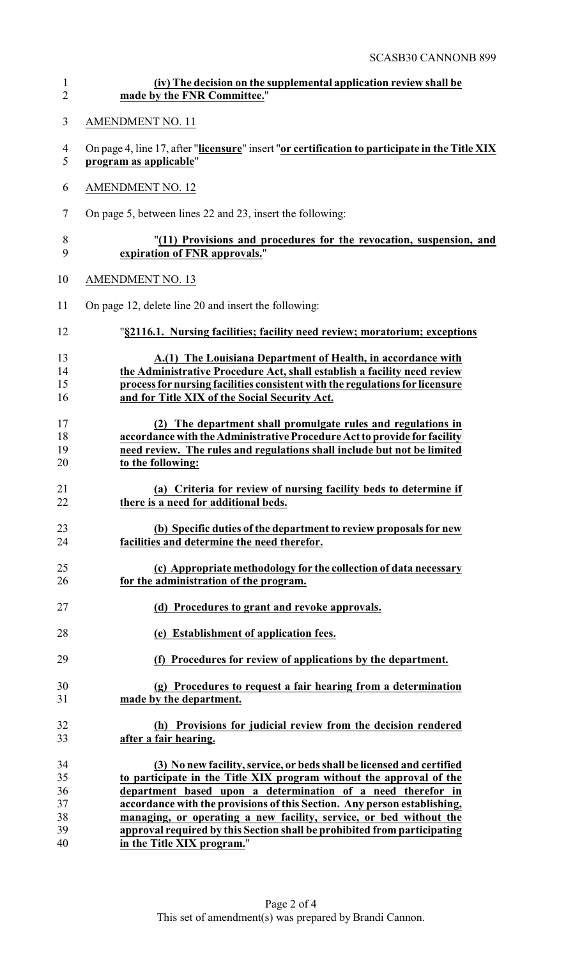| $\mathbf{1}$   | (iv) The decision on the supplemental application review shall be                              |
|----------------|------------------------------------------------------------------------------------------------|
| $\overline{2}$ | made by the FNR Committee."                                                                    |
| 3              | <b>AMENDMENT NO. 11</b>                                                                        |
| $\overline{4}$ | On page 4, line 17, after "licensure" insert "or certification to participate in the Title XIX |
| 5              | program as applicable"                                                                         |
| 6              | <b>AMENDMENT NO. 12</b>                                                                        |
| $\tau$         | On page 5, between lines 22 and 23, insert the following:                                      |
| $8\,$          | "(11) Provisions and procedures for the revocation, suspension, and                            |
| 9              | expiration of FNR approvals."                                                                  |
| 10             | <b>AMENDMENT NO. 13</b>                                                                        |
| 11             | On page 12, delete line 20 and insert the following:                                           |
| 12             | "§2116.1. Nursing facilities; facility need review; moratorium; exceptions                     |
| 13             | A.(1) The Louisiana Department of Health, in accordance with                                   |
| 14             | the Administrative Procedure Act, shall establish a facility need review                       |
| 15             | process for nursing facilities consistent with the regulations for licensure                   |
| 16             | and for Title XIX of the Social Security Act.                                                  |
| 17             | (2) The department shall promulgate rules and regulations in                                   |
| 18             | accordance with the Administrative Procedure Act to provide for facility                       |
| 19             | need review. The rules and regulations shall include but not be limited                        |
| 20             | to the following:                                                                              |
| 21             | (a) Criteria for review of nursing facility beds to determine if                               |
| 22             | there is a need for additional beds.                                                           |
| 23             | (b) Specific duties of the department to review proposals for new                              |
| 24             | facilities and determine the need therefor.                                                    |
| 25             | (c) Appropriate methodology for the collection of data necessary                               |
| 26             | for the administration of the program.                                                         |
| 27             | (d) Procedures to grant and revoke approvals.                                                  |
| 28             | (e) Establishment of application fees.                                                         |
| 29             | (f) Procedures for review of applications by the department.                                   |
| 30             | (g) Procedures to request a fair hearing from a determination                                  |
| 31             | made by the department.                                                                        |
| 32             | (h) Provisions for judicial review from the decision rendered                                  |
| 33             | after a fair hearing.                                                                          |
| 34             | (3) No new facility, service, or beds shall be licensed and certified                          |
| 35             | to participate in the Title XIX program without the approval of the                            |
| 36             | department based upon a determination of a need therefor in                                    |
| 37             | accordance with the provisions of this Section. Any person establishing,                       |
| 38             | managing, or operating a new facility, service, or bed without the                             |
| 39             | approval required by this Section shall be prohibited from participating                       |
| 40             | in the Title XIX program."                                                                     |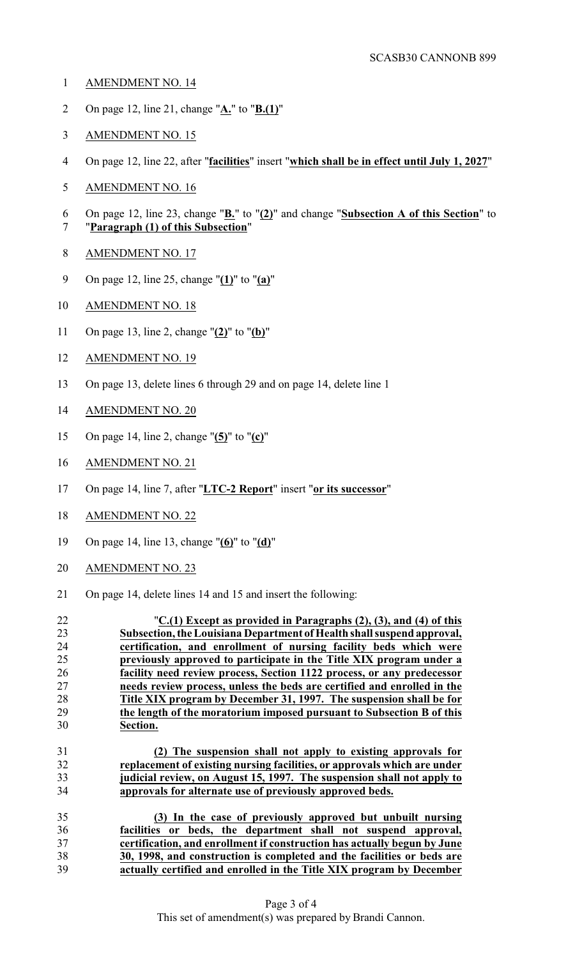- AMENDMENT NO. 14
- On page 12, line 21, change "**A.**" to "**B.(1)**"
- AMENDMENT NO. 15
- On page 12, line 22, after "**facilities**" insert "**which shall be in effect until July 1, 2027**"
- AMENDMENT NO. 16
- On page 12, line 23, change "**B.**" to "**(2)**" and change "**Subsection A of this Section**" to "**Paragraph (1) of this Subsection**"
- 
- AMENDMENT NO. 17
- On page 12, line 25, change "**(1)**" to "**(a)**"
- AMENDMENT NO. 18
- On page 13, line 2, change "**(2)**" to "**(b)**"
- AMENDMENT NO. 19
- On page 13, delete lines 6 through 29 and on page 14, delete line 1
- AMENDMENT NO. 20
- On page 14, line 2, change "**(5)**" to "**(c)**"
- AMENDMENT NO. 21
- On page 14, line 7, after "**LTC-2 Report**" insert "**or its successor**"
- AMENDMENT NO. 22
- On page 14, line 13, change "**(6)**" to "**(d)**"
- AMENDMENT NO. 23
- On page 14, delete lines 14 and 15 and insert the following: